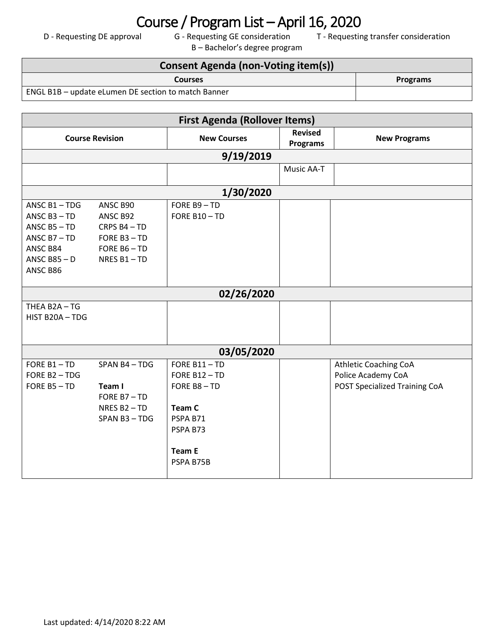## Course / Program List – April 16, 2020<br>D - Requesting DE approval G - Requesting GE consideration T - Requestin

B – Bachelor's degree program

T - Requesting transfer consideration

| Consent Agenda (non-Voting item(s))                 |                 |  |  |
|-----------------------------------------------------|-----------------|--|--|
| <b>Courses</b>                                      | <b>Programs</b> |  |  |
| ENGL B1B – update eLumen DE section to match Banner |                 |  |  |

| <b>First Agenda (Rollover Items)</b> |                          |                    |                 |                               |
|--------------------------------------|--------------------------|--------------------|-----------------|-------------------------------|
| <b>Course Revision</b>               |                          | <b>New Courses</b> | <b>Revised</b>  | <b>New Programs</b>           |
|                                      |                          |                    | <b>Programs</b> |                               |
|                                      |                          | 9/19/2019          |                 |                               |
|                                      |                          |                    | Music AA-T      |                               |
|                                      |                          |                    |                 |                               |
|                                      |                          | 1/30/2020          |                 |                               |
| ANSC $B1 - TDG$                      | ANSC B90                 | FORE B9-TD         |                 |                               |
| ANSC $B3 - TD$                       | ANSC B92                 | FORE B10-TD        |                 |                               |
| ANSC $B5 - TD$                       | CRPS B4-TD               |                    |                 |                               |
| ANSC $B7 - TD$                       | FORE B3-TD               |                    |                 |                               |
| ANSC B84                             | FORE $B6 - TD$           |                    |                 |                               |
| ANSC B85 $-$ D                       | NRES B1-TD               |                    |                 |                               |
| ANSC B86                             |                          |                    |                 |                               |
|                                      |                          |                    |                 |                               |
|                                      |                          | 02/26/2020         |                 |                               |
| THEA B2A-TG                          |                          |                    |                 |                               |
| HIST B20A-TDG                        |                          |                    |                 |                               |
|                                      |                          |                    |                 |                               |
|                                      |                          |                    |                 |                               |
| 03/05/2020                           |                          |                    |                 |                               |
| FORE B1-TD                           | SPAN B4-TDG              | FORE B11-TD        |                 | <b>Athletic Coaching CoA</b>  |
| FORE B2-TDG                          |                          | FORE B12-TD        |                 | Police Academy CoA            |
| FORE B5-TD                           | Team I                   | FORE B8-TD         |                 | POST Specialized Training CoA |
|                                      | FORE B7-TD               |                    |                 |                               |
|                                      | NRES B <sub>2</sub> - TD | Team C             |                 |                               |
|                                      | SPAN B3-TDG              | PSPA B71           |                 |                               |
|                                      |                          | PSPA B73           |                 |                               |
|                                      |                          |                    |                 |                               |
|                                      |                          | <b>Team E</b>      |                 |                               |
|                                      |                          | PSPA B75B          |                 |                               |
|                                      |                          |                    |                 |                               |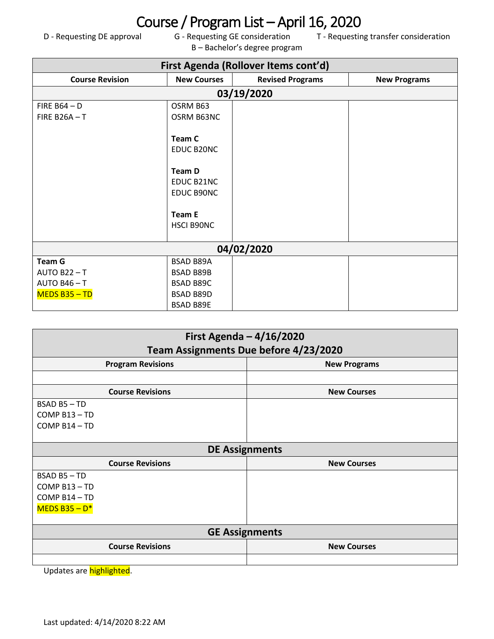## Course / Program List – April 16, 2020<br>D - Requesting DE approval G - Requesting GE consideration T - Requestin

B – Bachelor's degree program

T - Requesting transfer consideration

| First Agenda (Rollover Items cont'd) |                                                                                                         |                         |                     |  |
|--------------------------------------|---------------------------------------------------------------------------------------------------------|-------------------------|---------------------|--|
| <b>Course Revision</b>               | <b>New Courses</b>                                                                                      | <b>Revised Programs</b> | <b>New Programs</b> |  |
| 03/19/2020                           |                                                                                                         |                         |                     |  |
| FIRE $B64 - D$                       | OSRM B63                                                                                                |                         |                     |  |
| <b>FIRE B26A-T</b>                   | OSRM B63NC                                                                                              |                         |                     |  |
|                                      | <b>Team C</b><br>EDUC B20NC<br><b>Team D</b><br>EDUC B21NC<br>EDUC B90NC<br><b>Team E</b><br>HSCI B90NC |                         |                     |  |
| 04/02/2020                           |                                                                                                         |                         |                     |  |
| <b>Team G</b>                        | <b>BSAD B89A</b>                                                                                        |                         |                     |  |
| <b>AUTO B22-T</b>                    | <b>BSAD B89B</b>                                                                                        |                         |                     |  |
| <b>AUTO B46-T</b>                    | <b>BSAD B89C</b>                                                                                        |                         |                     |  |
| $MEDS B35 - TD$                      | <b>BSAD B89D</b>                                                                                        |                         |                     |  |
|                                      | <b>BSAD B89E</b>                                                                                        |                         |                     |  |

| First Agenda $-4/16/2020$                       |                    |  |  |  |
|-------------------------------------------------|--------------------|--|--|--|
| Team Assignments Due before 4/23/2020           |                    |  |  |  |
| <b>Program Revisions</b><br><b>New Programs</b> |                    |  |  |  |
|                                                 |                    |  |  |  |
| <b>Course Revisions</b>                         | <b>New Courses</b> |  |  |  |
| BSAD B5-TD                                      |                    |  |  |  |
| COMP B13-TD                                     |                    |  |  |  |
| COMP B14-TD                                     |                    |  |  |  |
|                                                 |                    |  |  |  |
| <b>DE Assignments</b>                           |                    |  |  |  |
| <b>Course Revisions</b><br><b>New Courses</b>   |                    |  |  |  |
| BSAD B5-TD                                      |                    |  |  |  |
| COMP B13-TD                                     |                    |  |  |  |
| COMP B14-TD                                     |                    |  |  |  |
| MEDS B35 - $D^*$                                |                    |  |  |  |
|                                                 |                    |  |  |  |
| <b>GE Assignments</b>                           |                    |  |  |  |
| <b>Course Revisions</b><br><b>New Courses</b>   |                    |  |  |  |
|                                                 |                    |  |  |  |

Updates are highlighted.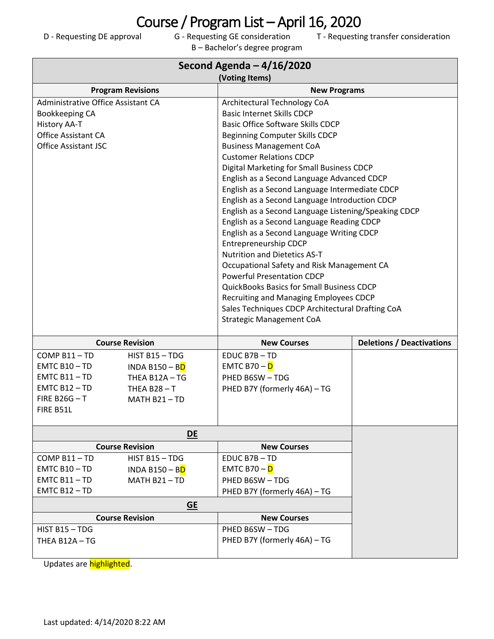Course / Program List – April 16, 2020<br>D - Requesting DE approval G - Requesting GE consideration T - Requestin

B – Bachelor's degree program

T - Requesting transfer consideration

| Second Agenda $-4/16/2020$<br>(Voting Items)                                                                                                                         |                                                                                   |                                                                                                                                                                                                                                                                                                                                                                                                                                                                                                                                                                                                                                                                                                                                                                                                                                                                                                                                                   |                                  |  |
|----------------------------------------------------------------------------------------------------------------------------------------------------------------------|-----------------------------------------------------------------------------------|---------------------------------------------------------------------------------------------------------------------------------------------------------------------------------------------------------------------------------------------------------------------------------------------------------------------------------------------------------------------------------------------------------------------------------------------------------------------------------------------------------------------------------------------------------------------------------------------------------------------------------------------------------------------------------------------------------------------------------------------------------------------------------------------------------------------------------------------------------------------------------------------------------------------------------------------------|----------------------------------|--|
|                                                                                                                                                                      |                                                                                   |                                                                                                                                                                                                                                                                                                                                                                                                                                                                                                                                                                                                                                                                                                                                                                                                                                                                                                                                                   |                                  |  |
| <b>Program Revisions</b><br>Administrative Office Assistant CA<br>Bookkeeping CA<br><b>History AA-T</b><br><b>Office Assistant CA</b><br><b>Office Assistant JSC</b> |                                                                                   | <b>New Programs</b><br>Architectural Technology CoA<br><b>Basic Internet Skills CDCP</b><br><b>Basic Office Software Skills CDCP</b><br><b>Beginning Computer Skills CDCP</b><br><b>Business Management CoA</b><br><b>Customer Relations CDCP</b><br>Digital Marketing for Small Business CDCP<br>English as a Second Language Advanced CDCP<br>English as a Second Language Intermediate CDCP<br>English as a Second Language Introduction CDCP<br>English as a Second Language Listening/Speaking CDCP<br>English as a Second Language Reading CDCP<br>English as a Second Language Writing CDCP<br><b>Entrepreneurship CDCP</b><br><b>Nutrition and Dietetics AS-T</b><br>Occupational Safety and Risk Management CA<br><b>Powerful Presentation CDCP</b><br><b>QuickBooks Basics for Small Business CDCP</b><br>Recruiting and Managing Employees CDCP<br>Sales Techniques CDCP Architectural Drafting CoA<br><b>Strategic Management CoA</b> |                                  |  |
|                                                                                                                                                                      | <b>Course Revision</b>                                                            | <b>New Courses</b>                                                                                                                                                                                                                                                                                                                                                                                                                                                                                                                                                                                                                                                                                                                                                                                                                                                                                                                                | <b>Deletions / Deactivations</b> |  |
| COMP B11-TD<br>$EMTC B10 - TD$<br>$EMTC B11 - TD$<br>$EMTC B12 - TD$<br><b>FIRE B26G-T</b><br>FIRE B51L                                                              | HIST B15 - TDG<br>INDA B150 - BD<br>THEA B12A-TG<br>THEA $B28 - T$<br>MATH B21-TD | EDUC B7B-TD<br>EMTC B70 - <mark>D</mark><br>PHED B6SW-TDG<br>PHED B7Y (formerly 46A) - TG                                                                                                                                                                                                                                                                                                                                                                                                                                                                                                                                                                                                                                                                                                                                                                                                                                                         |                                  |  |
|                                                                                                                                                                      | DE                                                                                |                                                                                                                                                                                                                                                                                                                                                                                                                                                                                                                                                                                                                                                                                                                                                                                                                                                                                                                                                   |                                  |  |
| <b>Course Revision</b>                                                                                                                                               |                                                                                   | <b>New Courses</b>                                                                                                                                                                                                                                                                                                                                                                                                                                                                                                                                                                                                                                                                                                                                                                                                                                                                                                                                |                                  |  |
| COMP B11-TD<br>$EMTC B10 - TD$<br>$EMTC B11 - TD$<br>EMTC B12-TD                                                                                                     | HIST B15-TDG<br>INDA B150 - B <mark>D</mark><br>MATH B21-TD                       | EDUC B7B-TD<br>EMTC B70 - <mark>D</mark><br>PHED B6SW-TDG<br>PHED B7Y (formerly 46A) - TG                                                                                                                                                                                                                                                                                                                                                                                                                                                                                                                                                                                                                                                                                                                                                                                                                                                         |                                  |  |
| <b>GE</b>                                                                                                                                                            |                                                                                   |                                                                                                                                                                                                                                                                                                                                                                                                                                                                                                                                                                                                                                                                                                                                                                                                                                                                                                                                                   |                                  |  |
|                                                                                                                                                                      | <b>Course Revision</b>                                                            | <b>New Courses</b>                                                                                                                                                                                                                                                                                                                                                                                                                                                                                                                                                                                                                                                                                                                                                                                                                                                                                                                                |                                  |  |
| HIST B15-TDG<br>THEA B12A-TG                                                                                                                                         |                                                                                   | PHED B6SW-TDG<br>PHED B7Y (formerly 46A) - TG                                                                                                                                                                                                                                                                                                                                                                                                                                                                                                                                                                                                                                                                                                                                                                                                                                                                                                     |                                  |  |

Updates are highlighted.